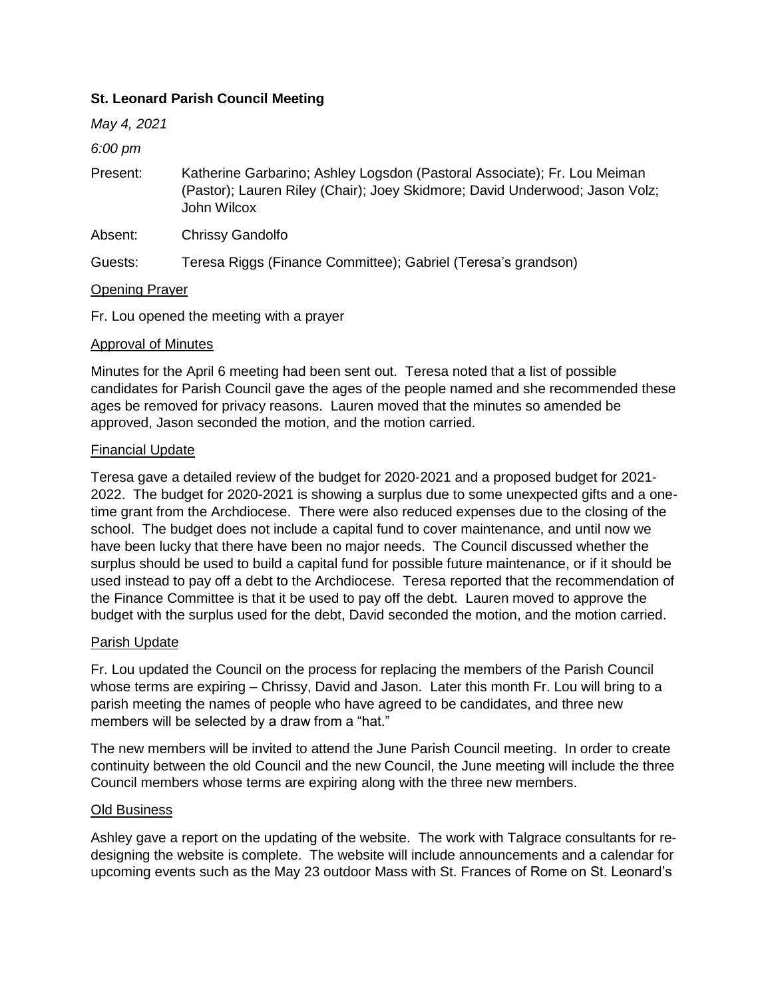# **St. Leonard Parish Council Meeting**

*May 4, 2021*

### *6:00 pm*

Present: Katherine Garbarino; Ashley Logsdon (Pastoral Associate); Fr. Lou Meiman (Pastor); Lauren Riley (Chair); Joey Skidmore; David Underwood; Jason Volz; John Wilcox

Absent: Chrissy Gandolfo

Guests: Teresa Riggs (Finance Committee); Gabriel (Teresa's grandson)

# Opening Prayer

Fr. Lou opened the meeting with a prayer

### Approval of Minutes

Minutes for the April 6 meeting had been sent out. Teresa noted that a list of possible candidates for Parish Council gave the ages of the people named and she recommended these ages be removed for privacy reasons. Lauren moved that the minutes so amended be approved, Jason seconded the motion, and the motion carried.

### Financial Update

Teresa gave a detailed review of the budget for 2020-2021 and a proposed budget for 2021- 2022. The budget for 2020-2021 is showing a surplus due to some unexpected gifts and a onetime grant from the Archdiocese. There were also reduced expenses due to the closing of the school. The budget does not include a capital fund to cover maintenance, and until now we have been lucky that there have been no major needs. The Council discussed whether the surplus should be used to build a capital fund for possible future maintenance, or if it should be used instead to pay off a debt to the Archdiocese. Teresa reported that the recommendation of the Finance Committee is that it be used to pay off the debt. Lauren moved to approve the budget with the surplus used for the debt, David seconded the motion, and the motion carried.

#### Parish Update

Fr. Lou updated the Council on the process for replacing the members of the Parish Council whose terms are expiring – Chrissy, David and Jason. Later this month Fr. Lou will bring to a parish meeting the names of people who have agreed to be candidates, and three new members will be selected by a draw from a "hat."

The new members will be invited to attend the June Parish Council meeting. In order to create continuity between the old Council and the new Council, the June meeting will include the three Council members whose terms are expiring along with the three new members.

# Old Business

Ashley gave a report on the updating of the website. The work with Talgrace consultants for redesigning the website is complete. The website will include announcements and a calendar for upcoming events such as the May 23 outdoor Mass with St. Frances of Rome on St. Leonard's